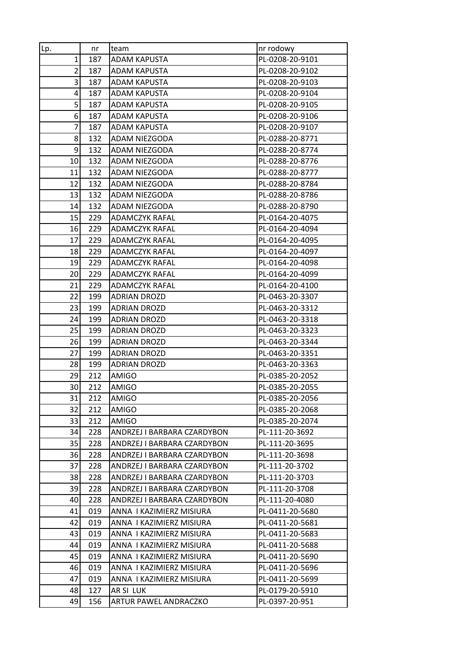| Lp.            | nr  | team                         | nr rodowy       |
|----------------|-----|------------------------------|-----------------|
| $\mathbf{1}$   | 187 | <b>ADAM KAPUSTA</b>          | PL-0208-20-9101 |
| $\overline{2}$ | 187 | ADAM KAPUSTA                 | PL-0208-20-9102 |
| $\overline{3}$ | 187 | <b>ADAM KAPUSTA</b>          | PL-0208-20-9103 |
| $\overline{4}$ | 187 | ADAM KAPUSTA                 | PL-0208-20-9104 |
| 5              | 187 | <b>ADAM KAPUSTA</b>          | PL-0208-20-9105 |
| 6              | 187 | ADAM KAPUSTA                 | PL-0208-20-9106 |
| 7              | 187 | ADAM KAPUSTA                 | PL-0208-20-9107 |
| 8              | 132 | ADAM NIEZGODA                | PL-0288-20-8771 |
| 9              | 132 | ADAM NIEZGODA                | PL-0288-20-8774 |
| 10             | 132 | ADAM NIEZGODA                | PL-0288-20-8776 |
| 11             | 132 | ADAM NIEZGODA                | PL-0288-20-8777 |
| 12             | 132 | ADAM NIEZGODA                | PL-0288-20-8784 |
| 13             | 132 | ADAM NIEZGODA                | PL-0288-20-8786 |
| 14             | 132 | ADAM NIEZGODA                | PL-0288-20-8790 |
| 15             | 229 | <b>ADAMCZYK RAFAL</b>        | PL-0164-20-4075 |
| 16             | 229 | <b>ADAMCZYK RAFAL</b>        | PL-0164-20-4094 |
| 17             | 229 | <b>ADAMCZYK RAFAL</b>        | PL-0164-20-4095 |
| 18             | 229 | <b>ADAMCZYK RAFAL</b>        | PL-0164-20-4097 |
| 19             | 229 | <b>ADAMCZYK RAFAL</b>        | PL-0164-20-4098 |
| 20             | 229 | <b>ADAMCZYK RAFAL</b>        | PL-0164-20-4099 |
| 21             | 229 | <b>ADAMCZYK RAFAL</b>        | PL-0164-20-4100 |
| 22             | 199 | ADRIAN DROZD                 | PL-0463-20-3307 |
| 23             | 199 | ADRIAN DROZD                 | PL-0463-20-3312 |
| 24             | 199 | ADRIAN DROZD                 | PL-0463-20-3318 |
| 25             | 199 | ADRIAN DROZD                 | PL-0463-20-3323 |
| 26             | 199 | ADRIAN DROZD                 | PL-0463-20-3344 |
| 27             | 199 | <b>ADRIAN DROZD</b>          | PL-0463-20-3351 |
| 28             | 199 | ADRIAN DROZD                 | PL-0463-20-3363 |
| 29             | 212 | AMIGO                        | PL-0385-20-2052 |
| 30             | 212 | AMIGO                        | PL-0385-20-2055 |
| 31             | 212 | <b>AMIGO</b>                 | PL-0385-20-2056 |
| 32             | 212 | AMIGO                        | PL-0385-20-2068 |
| 33             | 212 | AMIGO                        | PL-0385-20-2074 |
| 34             | 228 | ANDRZEJ I BARBARA CZARDYBON  | PL-111-20-3692  |
| 35             | 228 | ANDRZEJ I BARBARA CZARDYBON  | PL-111-20-3695  |
| 36             | 228 | ANDRZEJ I BARBARA CZARDYBON  | PL-111-20-3698  |
| 37             | 228 | ANDRZEJ I BARBARA CZARDYBON. | PL-111-20-3702  |
| 38             | 228 | ANDRZEJ I BARBARA CZARDYBON  | PL-111-20-3703  |
| 39             | 228 | ANDRZEJ I BARBARA CZARDYBON  | PL-111-20-3708  |
| 40             | 228 | ANDRZEJ I BARBARA CZARDYBON  | PL-111-20-4080  |
| 41             | 019 | ANNA I KAZIMIERZ MISIURA     | PL-0411-20-5680 |
| 42             | 019 | ANNA I KAZIMIERZ MISIURA     | PL-0411-20-5681 |
| 43             | 019 | ANNA I KAZIMIERZ MISIURA     | PL-0411-20-5683 |
| 44             | 019 | ANNA I KAZIMIERZ MISIURA     | PL-0411-20-5688 |
| 45             | 019 | ANNA I KAZIMIERZ MISIURA     | PL-0411-20-5690 |
| 46             | 019 | ANNA I KAZIMIERZ MISIURA     | PL-0411-20-5696 |
| 47             | 019 | ANNA I KAZIMIERZ MISIURA     | PL-0411-20-5699 |
| 48             | 127 | AR SI LUK                    | PL-0179-20-5910 |
| 49             | 156 | ARTUR PAWEL ANDRACZKO        | PL-0397-20-951  |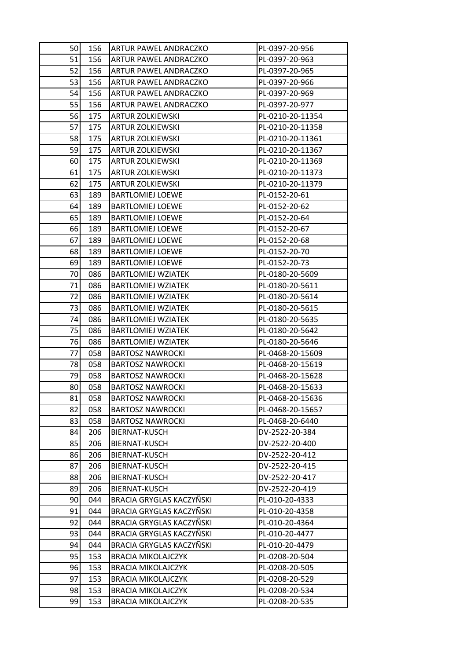| <b>50</b> | 156 | ARTUR PAWEL ANDRACZKO     | PL-0397-20-956   |
|-----------|-----|---------------------------|------------------|
| 51        | 156 | ARTUR PAWEL ANDRACZKO     | PL-0397-20-963   |
| 52        | 156 | ARTUR PAWEL ANDRACZKO     | PL-0397-20-965   |
| 53        | 156 | ARTUR PAWEL ANDRACZKO     | PL-0397-20-966   |
| 54        | 156 | ARTUR PAWEL ANDRACZKO     | PL-0397-20-969   |
| 55        | 156 | ARTUR PAWEL ANDRACZKO     | PL-0397-20-977   |
| 56        | 175 | <b>ARTUR ZOLKIEWSKI</b>   | PL-0210-20-11354 |
| 57        | 175 | <b>ARTUR ZOLKIEWSKI</b>   | PL-0210-20-11358 |
| 58        | 175 | <b>ARTUR ZOLKIEWSKI</b>   | PL-0210-20-11361 |
| 59        | 175 | <b>ARTUR ZOLKIEWSKI</b>   | PL-0210-20-11367 |
| 60        | 175 | <b>ARTUR ZOLKIEWSKI</b>   | PL-0210-20-11369 |
| 61        | 175 | <b>ARTUR ZOLKIEWSKI</b>   | PL-0210-20-11373 |
| 62        | 175 | <b>ARTUR ZOLKIEWSKI</b>   | PL-0210-20-11379 |
| 63        | 189 | <b>BARTLOMIEJ LOEWE</b>   | PL-0152-20-61    |
| 64        | 189 | <b>BARTLOMIEJ LOEWE</b>   | PL-0152-20-62    |
| 65        | 189 | <b>BARTLOMIEJ LOEWE</b>   | PL-0152-20-64    |
| 66        | 189 | <b>BARTLOMIEJ LOEWE</b>   | PL-0152-20-67    |
| 67        | 189 | <b>BARTLOMIEJ LOEWE</b>   | PL-0152-20-68    |
| 68        | 189 | <b>BARTLOMIEJ LOEWE</b>   | PL-0152-20-70    |
| 69        | 189 | <b>BARTLOMIEJ LOEWE</b>   | PL-0152-20-73    |
| 70        | 086 | <b>BARTLOMIEJ WZIATEK</b> | PL-0180-20-5609  |
| 71        | 086 | <b>BARTLOMIEJ WZIATEK</b> | PL-0180-20-5611  |
| 72        | 086 | <b>BARTLOMIEJ WZIATEK</b> | PL-0180-20-5614  |
| 73        | 086 | <b>BARTLOMIEJ WZIATEK</b> | PL-0180-20-5615  |
| 74        | 086 | <b>BARTLOMIEJ WZIATEK</b> | PL-0180-20-5635  |
| 75        | 086 | <b>BARTLOMIEJ WZIATEK</b> | PL-0180-20-5642  |
| 76        | 086 | <b>BARTLOMIEJ WZIATEK</b> | PL-0180-20-5646  |
| 77        | 058 | <b>BARTOSZ NAWROCKI</b>   | PL-0468-20-15609 |
| 78        | 058 | <b>BARTOSZ NAWROCKI</b>   | PL-0468-20-15619 |
| 79        | 058 | <b>BARTOSZ NAWROCKI</b>   | PL-0468-20-15628 |
| 80        | 058 | <b>BARTOSZ NAWROCKI</b>   | PL-0468-20-15633 |
| 81        | 058 | <b>BARTOSZ NAWROCKI</b>   | PL-0468-20-15636 |
| 82        | 058 | <b>BARTOSZ NAWROCKI</b>   | PL-0468-20-15657 |
| 83        | 058 | <b>BARTOSZ NAWROCKI</b>   | PL-0468-20-6440  |
| 84        | 206 | BIERNAT-KUSCH             | DV-2522-20-384   |
| 85        | 206 | BIERNAT-KUSCH             | DV-2522-20-400   |
| 86        | 206 | <b>BIERNAT-KUSCH</b>      | DV-2522-20-412   |
| 87        | 206 | BIERNAT-KUSCH             | DV-2522-20-415   |
| 88        | 206 | BIERNAT-KUSCH             | DV-2522-20-417   |
| 89        | 206 | BIERNAT-KUSCH             | DV-2522-20-419   |
| 90        | 044 | BRACIA GRYGLAS KACZYÑSKI  | PL-010-20-4333   |
| 91        | 044 | BRACIA GRYGLAS KACZYÑSKI  | PL-010-20-4358   |
| 92        | 044 | BRACIA GRYGLAS KACZYŃSKI  | PL-010-20-4364   |
| 93        | 044 | BRACIA GRYGLAS KACZYÑSKI  | PL-010-20-4477   |
| 94        | 044 | BRACIA GRYGLAS KACZYÑSKI  | PL-010-20-4479   |
| 95        | 153 | <b>BRACIA MIKOLAJCZYK</b> | PL-0208-20-504   |
| 96        | 153 | <b>BRACIA MIKOLAJCZYK</b> | PL-0208-20-505   |
| 97        | 153 | <b>BRACIA MIKOLAJCZYK</b> | PL-0208-20-529   |
| 98        | 153 | <b>BRACIA MIKOLAJCZYK</b> | PL-0208-20-534   |
| 99        | 153 | <b>BRACIA MIKOLAJCZYK</b> | PL-0208-20-535   |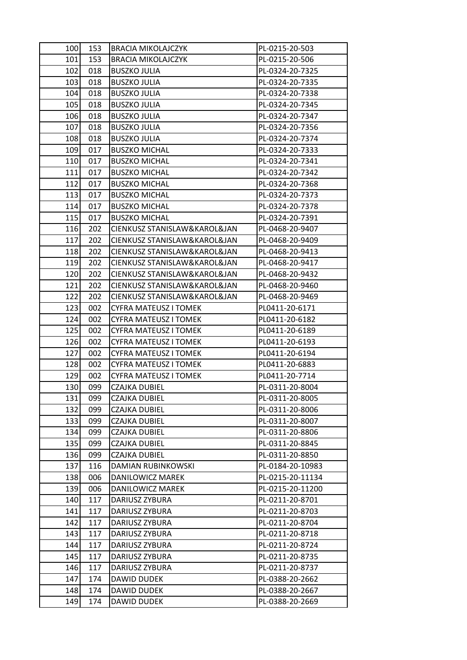| 100 | 153 | <b>BRACIA MIKOLAJCZYK</b>    | PL-0215-20-503   |
|-----|-----|------------------------------|------------------|
| 101 | 153 | <b>BRACIA MIKOLAJCZYK</b>    | PL-0215-20-506   |
| 102 | 018 | <b>BUSZKO JULIA</b>          | PL-0324-20-7325  |
| 103 | 018 | <b>BUSZKO JULIA</b>          | PL-0324-20-7335  |
| 104 | 018 | <b>BUSZKO JULIA</b>          | PL-0324-20-7338  |
| 105 | 018 | <b>BUSZKO JULIA</b>          | PL-0324-20-7345  |
| 106 | 018 | <b>BUSZKO JULIA</b>          | PL-0324-20-7347  |
| 107 | 018 | <b>BUSZKO JULIA</b>          | PL-0324-20-7356  |
| 108 | 018 | <b>BUSZKO JULIA</b>          | PL-0324-20-7374  |
| 109 | 017 | <b>BUSZKO MICHAL</b>         | PL-0324-20-7333  |
| 110 | 017 | <b>BUSZKO MICHAL</b>         | PL-0324-20-7341  |
| 111 | 017 | <b>BUSZKO MICHAL</b>         | PL-0324-20-7342  |
| 112 | 017 | <b>BUSZKO MICHAL</b>         | PL-0324-20-7368  |
| 113 | 017 | <b>BUSZKO MICHAL</b>         | PL-0324-20-7373  |
| 114 | 017 | <b>BUSZKO MICHAL</b>         | PL-0324-20-7378  |
| 115 | 017 | <b>BUSZKO MICHAL</b>         | PL-0324-20-7391  |
| 116 | 202 | CIENKUSZ STANISLAW&KAROL&JAN | PL-0468-20-9407  |
| 117 | 202 | CIENKUSZ STANISLAW&KAROL&JAN | PL-0468-20-9409  |
| 118 | 202 | CIENKUSZ STANISLAW&KAROL&JAN | PL-0468-20-9413  |
| 119 | 202 | CIENKUSZ STANISLAW&KAROL&JAN | PL-0468-20-9417  |
| 120 | 202 | CIENKUSZ STANISLAW&KAROL&JAN | PL-0468-20-9432  |
| 121 | 202 | CIENKUSZ STANISLAW&KAROL&JAN | PL-0468-20-9460  |
| 122 | 202 | CIENKUSZ STANISLAW&KAROL&JAN | PL-0468-20-9469  |
| 123 | 002 | CYFRA MATEUSZ I TOMEK        | PL0411-20-6171   |
| 124 | 002 | <b>CYFRA MATEUSZ I TOMEK</b> | PL0411-20-6182   |
| 125 | 002 | <b>CYFRA MATEUSZ I TOMEK</b> | PL0411-20-6189   |
| 126 | 002 | <b>CYFRA MATEUSZ I TOMEK</b> | PL0411-20-6193   |
| 127 | 002 | <b>CYFRA MATEUSZ I TOMEK</b> | PL0411-20-6194   |
| 128 | 002 | <b>CYFRA MATEUSZ I TOMEK</b> | PL0411-20-6883   |
| 129 | 002 | <b>CYFRA MATEUSZ I TOMEK</b> | PL0411-20-7714   |
| 130 | 099 | CZAJKA DUBIEL                | PL-0311-20-8004  |
| 131 | 099 | <b>CZAJKA DUBIEL</b>         | PL-0311-20-8005  |
| 132 | 099 | <b>CZAJKA DUBIEL</b>         | PL-0311-20-8006  |
| 133 | 099 | CZAJKA DUBIEL                | PL-0311-20-8007  |
| 134 | 099 | <b>CZAJKA DUBIEL</b>         | PL-0311-20-8806  |
| 135 | 099 | CZAJKA DUBIEL                | PL-0311-20-8845  |
| 136 | 099 | <b>CZAJKA DUBIEL</b>         | PL-0311-20-8850  |
| 137 | 116 | DAMIAN RUBINKOWSKI           | PL-0184-20-10983 |
| 138 | 006 | DANILOWICZ MAREK             | PL-0215-20-11134 |
| 139 | 006 | DANILOWICZ MAREK             | PL-0215-20-11200 |
| 140 | 117 | DARIUSZ ZYBURA               | PL-0211-20-8701  |
| 141 | 117 | DARIUSZ ZYBURA               | PL-0211-20-8703  |
| 142 | 117 | DARIUSZ ZYBURA               | PL-0211-20-8704  |
| 143 | 117 | DARIUSZ ZYBURA               | PL-0211-20-8718  |
| 144 | 117 | DARIUSZ ZYBURA               | PL-0211-20-8724  |
| 145 | 117 | DARIUSZ ZYBURA               | PL-0211-20-8735  |
| 146 | 117 | DARIUSZ ZYBURA               | PL-0211-20-8737  |
| 147 | 174 | DAWID DUDEK                  | PL-0388-20-2662  |
| 148 | 174 | DAWID DUDEK                  | PL-0388-20-2667  |
| 149 | 174 | <b>DAWID DUDEK</b>           | PL-0388-20-2669  |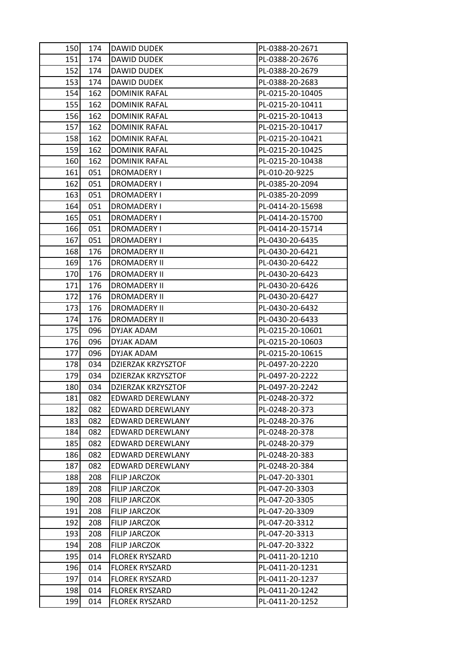| 150 | 174 | <b>DAWID DUDEK</b>    | PL-0388-20-2671  |
|-----|-----|-----------------------|------------------|
| 151 | 174 | DAWID DUDEK           | PL-0388-20-2676  |
| 152 | 174 | DAWID DUDEK           | PL-0388-20-2679  |
| 153 | 174 | <b>DAWID DUDEK</b>    | PL-0388-20-2683  |
| 154 | 162 | <b>DOMINIK RAFAL</b>  | PL-0215-20-10405 |
| 155 | 162 | <b>DOMINIK RAFAL</b>  | PL-0215-20-10411 |
| 156 | 162 | <b>DOMINIK RAFAL</b>  | PL-0215-20-10413 |
| 157 | 162 | <b>DOMINIK RAFAL</b>  | PL-0215-20-10417 |
| 158 | 162 | <b>DOMINIK RAFAL</b>  | PL-0215-20-10421 |
| 159 | 162 | <b>DOMINIK RAFAL</b>  | PL-0215-20-10425 |
| 160 | 162 | <b>DOMINIK RAFAL</b>  | PL-0215-20-10438 |
| 161 | 051 | DROMADERY I           | PL-010-20-9225   |
| 162 | 051 | DROMADERY I           | PL-0385-20-2094  |
| 163 | 051 | DROMADERY I           | PL-0385-20-2099  |
| 164 | 051 | DROMADERY I           | PL-0414-20-15698 |
| 165 | 051 | DROMADERY I           | PL-0414-20-15700 |
| 166 | 051 | <b>DROMADERY I</b>    | PL-0414-20-15714 |
| 167 | 051 | DROMADERY I           | PL-0430-20-6435  |
| 168 | 176 | <b>DROMADERY II</b>   | PL-0430-20-6421  |
| 169 | 176 | <b>DROMADERY II</b>   | PL-0430-20-6422  |
| 170 | 176 | <b>DROMADERY II</b>   | PL-0430-20-6423  |
| 171 | 176 | <b>DROMADERY II</b>   | PL-0430-20-6426  |
| 172 | 176 | <b>DROMADERY II</b>   | PL-0430-20-6427  |
| 173 | 176 | <b>DROMADERY II</b>   | PL-0430-20-6432  |
| 174 | 176 | <b>DROMADERY II</b>   | PL-0430-20-6433  |
| 175 | 096 | DYJAK ADAM            | PL-0215-20-10601 |
| 176 | 096 | DYJAK ADAM            | PL-0215-20-10603 |
| 177 | 096 | DYJAK ADAM            | PL-0215-20-10615 |
| 178 | 034 | DZIERZAK KRZYSZTOF    | PL-0497-20-2220  |
| 179 | 034 | DZIERZAK KRZYSZTOF    | PL-0497-20-2222  |
| 180 | 034 | DZIERZAK KRZYSZTOF    | PL-0497-20-2242  |
| 181 | 082 | EDWARD DEREWLANY      | PL-0248-20-372   |
| 182 | 082 | EDWARD DEREWLANY      | PL-0248-20-373   |
| 183 | 082 | EDWARD DEREWLANY      | PL-0248-20-376   |
| 184 | 082 | EDWARD DEREWLANY      | PL-0248-20-378   |
| 185 | 082 | EDWARD DEREWLANY      | PL-0248-20-379   |
| 186 | 082 | EDWARD DEREWLANY      | PL-0248-20-383   |
| 187 | 082 | EDWARD DEREWLANY      | PL-0248-20-384   |
| 188 | 208 | <b>FILIP JARCZOK</b>  | PL-047-20-3301   |
| 189 | 208 | <b>FILIP JARCZOK</b>  | PL-047-20-3303   |
| 190 | 208 | <b>FILIP JARCZOK</b>  | PL-047-20-3305   |
| 191 | 208 | <b>FILIP JARCZOK</b>  | PL-047-20-3309   |
| 192 | 208 | <b>FILIP JARCZOK</b>  | PL-047-20-3312   |
| 193 | 208 | <b>FILIP JARCZOK</b>  | PL-047-20-3313   |
| 194 | 208 | <b>FILIP JARCZOK</b>  | PL-047-20-3322   |
| 195 | 014 | <b>FLOREK RYSZARD</b> | PL-0411-20-1210  |
| 196 | 014 | <b>FLOREK RYSZARD</b> | PL-0411-20-1231  |
| 197 | 014 | <b>FLOREK RYSZARD</b> | PL-0411-20-1237  |
| 198 | 014 | <b>FLOREK RYSZARD</b> | PL-0411-20-1242  |
| 199 | 014 | <b>FLOREK RYSZARD</b> | PL-0411-20-1252  |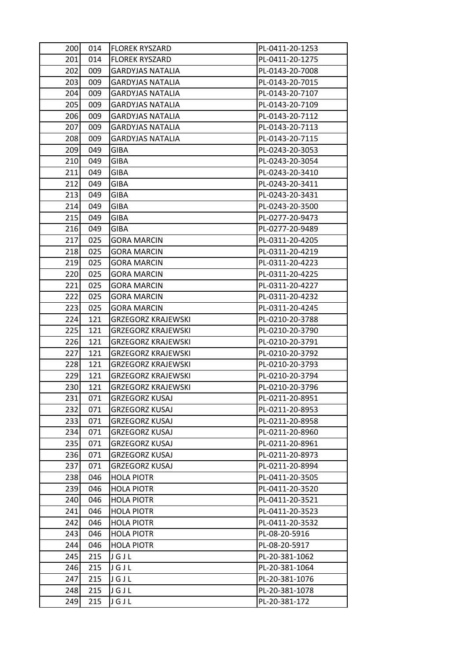| 200 | 014 | <b>FLOREK RYSZARD</b>     | PL-0411-20-1253 |
|-----|-----|---------------------------|-----------------|
| 201 | 014 | <b>FLOREK RYSZARD</b>     | PL-0411-20-1275 |
| 202 | 009 | <b>GARDYJAS NATALIA</b>   | PL-0143-20-7008 |
| 203 | 009 | <b>GARDYJAS NATALIA</b>   | PL-0143-20-7015 |
| 204 | 009 | <b>GARDYJAS NATALIA</b>   | PL-0143-20-7107 |
| 205 | 009 | <b>GARDYJAS NATALIA</b>   | PL-0143-20-7109 |
| 206 | 009 | <b>GARDYJAS NATALIA</b>   | PL-0143-20-7112 |
| 207 | 009 | <b>GARDYJAS NATALIA</b>   | PL-0143-20-7113 |
| 208 | 009 | <b>GARDYJAS NATALIA</b>   | PL-0143-20-7115 |
| 209 | 049 | <b>GIBA</b>               | PL-0243-20-3053 |
| 210 | 049 | GIBA                      | PL-0243-20-3054 |
| 211 | 049 | <b>GIBA</b>               | PL-0243-20-3410 |
| 212 | 049 | <b>GIBA</b>               | PL-0243-20-3411 |
| 213 | 049 | GIBA                      | PL-0243-20-3431 |
| 214 | 049 | <b>GIBA</b>               | PL-0243-20-3500 |
| 215 | 049 | <b>GIBA</b>               | PL-0277-20-9473 |
| 216 | 049 | <b>GIBA</b>               | PL-0277-20-9489 |
| 217 | 025 | <b>GORA MARCIN</b>        | PL-0311-20-4205 |
| 218 | 025 | <b>GORA MARCIN</b>        | PL-0311-20-4219 |
| 219 | 025 | <b>GORA MARCIN</b>        | PL-0311-20-4223 |
| 220 | 025 | <b>GORA MARCIN</b>        | PL-0311-20-4225 |
| 221 | 025 | <b>GORA MARCIN</b>        | PL-0311-20-4227 |
| 222 | 025 | <b>GORA MARCIN</b>        | PL-0311-20-4232 |
| 223 | 025 | <b>GORA MARCIN</b>        | PL-0311-20-4245 |
| 224 | 121 | <b>GRZEGORZ KRAJEWSKI</b> | PL-0210-20-3788 |
| 225 | 121 | <b>GRZEGORZ KRAJEWSKI</b> | PL-0210-20-3790 |
| 226 | 121 | <b>GRZEGORZ KRAJEWSKI</b> | PL-0210-20-3791 |
| 227 | 121 | <b>GRZEGORZ KRAJEWSKI</b> | PL-0210-20-3792 |
| 228 | 121 | <b>GRZEGORZ KRAJEWSKI</b> | PL-0210-20-3793 |
| 229 | 121 | <b>GRZEGORZ KRAJEWSKI</b> | PL-0210-20-3794 |
| 230 | 121 | GRZEGORZ KRAJEWSKI        | PL-0210-20-3796 |
| 231 | 071 | <b>GRZEGORZ KUSAJ</b>     | PL-0211-20-8951 |
| 232 | 071 | <b>GRZEGORZ KUSAJ</b>     | PL-0211-20-8953 |
| 233 | 071 | <b>GRZEGORZ KUSAJ</b>     | PL-0211-20-8958 |
| 234 | 071 | <b>GRZEGORZ KUSAJ</b>     | PL-0211-20-8960 |
| 235 | 071 | <b>GRZEGORZ KUSAJ</b>     | PL-0211-20-8961 |
| 236 | 071 | <b>GRZEGORZ KUSAJ</b>     | PL-0211-20-8973 |
| 237 | 071 | <b>GRZEGORZ KUSAJ</b>     | PL-0211-20-8994 |
| 238 | 046 | <b>HOLA PIOTR</b>         | PL-0411-20-3505 |
| 239 | 046 | <b>HOLA PIOTR</b>         | PL-0411-20-3520 |
| 240 | 046 | <b>HOLA PIOTR</b>         | PL-0411-20-3521 |
| 241 | 046 | <b>HOLA PIOTR</b>         | PL-0411-20-3523 |
| 242 | 046 | <b>HOLA PIOTR</b>         | PL-0411-20-3532 |
| 243 | 046 | <b>HOLA PIOTR</b>         | PL-08-20-5916   |
| 244 | 046 | <b>HOLA PIOTR</b>         | PL-08-20-5917   |
| 245 | 215 | JGJL                      | PL-20-381-1062  |
| 246 | 215 | JGJL                      | PL-20-381-1064  |
| 247 | 215 | JGJL                      | PL-20-381-1076  |
| 248 | 215 | JGJL                      | PL-20-381-1078  |
| 249 | 215 | JGJL                      | PL-20-381-172   |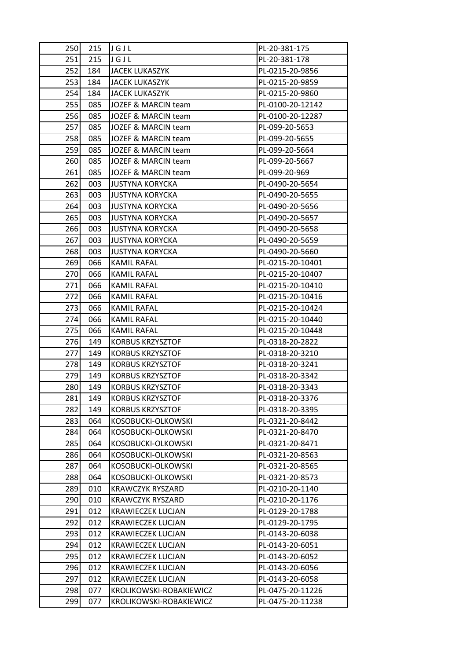| 250 | 215 | JGJL                     | PL-20-381-175    |
|-----|-----|--------------------------|------------------|
| 251 | 215 | JGJL                     | PL-20-381-178    |
| 252 | 184 | <b>JACEK LUKASZYK</b>    | PL-0215-20-9856  |
| 253 | 184 | <b>JACEK LUKASZYK</b>    | PL-0215-20-9859  |
| 254 | 184 | <b>JACEK LUKASZYK</b>    | PL-0215-20-9860  |
| 255 | 085 | JOZEF & MARCIN team      | PL-0100-20-12142 |
| 256 | 085 | JOZEF & MARCIN team      | PL-0100-20-12287 |
| 257 | 085 | JOZEF & MARCIN team      | PL-099-20-5653   |
| 258 | 085 | JOZEF & MARCIN team      | PL-099-20-5655   |
| 259 | 085 | JOZEF & MARCIN team      | PL-099-20-5664   |
| 260 | 085 | JOZEF & MARCIN team      | PL-099-20-5667   |
| 261 | 085 | JOZEF & MARCIN team      | PL-099-20-969    |
| 262 | 003 | <b>JUSTYNA KORYCKA</b>   | PL-0490-20-5654  |
| 263 | 003 | <b>JUSTYNA KORYCKA</b>   | PL-0490-20-5655  |
| 264 | 003 | <b>JUSTYNA KORYCKA</b>   | PL-0490-20-5656  |
| 265 | 003 | <b>JUSTYNA KORYCKA</b>   | PL-0490-20-5657  |
| 266 | 003 | <b>JUSTYNA KORYCKA</b>   | PL-0490-20-5658  |
| 267 | 003 | <b>JUSTYNA KORYCKA</b>   | PL-0490-20-5659  |
| 268 | 003 | <b>JUSTYNA KORYCKA</b>   | PL-0490-20-5660  |
| 269 | 066 | <b>KAMIL RAFAL</b>       | PL-0215-20-10401 |
| 270 | 066 | <b>KAMIL RAFAL</b>       | PL-0215-20-10407 |
| 271 | 066 | <b>KAMIL RAFAL</b>       | PL-0215-20-10410 |
| 272 | 066 | KAMIL RAFAL              | PL-0215-20-10416 |
| 273 | 066 | <b>KAMIL RAFAL</b>       | PL-0215-20-10424 |
| 274 | 066 | <b>KAMIL RAFAL</b>       | PL-0215-20-10440 |
| 275 | 066 | KAMIL RAFAL              | PL-0215-20-10448 |
| 276 | 149 | <b>KORBUS KRZYSZTOF</b>  | PL-0318-20-2822  |
| 277 | 149 | <b>KORBUS KRZYSZTOF</b>  | PL-0318-20-3210  |
| 278 | 149 | <b>KORBUS KRZYSZTOF</b>  | PL-0318-20-3241  |
| 279 | 149 | <b>KORBUS KRZYSZTOF</b>  | PL-0318-20-3342  |
| 280 | 149 | <b>KORBUS KRZYSZTOF</b>  | PL-0318-20-3343  |
| 281 | 149 | <b>KORBUS KRZYSZTOF</b>  | PL-0318-20-3376  |
| 282 | 149 | <b>KORBUS KRZYSZTOF</b>  | PL-0318-20-3395  |
| 283 | 064 | KOSOBUCKI-OLKOWSKI       | PL-0321-20-8442  |
| 284 | 064 | KOSOBUCKI-OLKOWSKI       | PL-0321-20-8470  |
| 285 | 064 | KOSOBUCKI-OLKOWSKI       | PL-0321-20-8471  |
| 286 | 064 | KOSOBUCKI-OLKOWSKI       | PL-0321-20-8563  |
| 287 | 064 | KOSOBUCKI-OLKOWSKI       | PL-0321-20-8565  |
| 288 | 064 | KOSOBUCKI-OLKOWSKI       | PL-0321-20-8573  |
| 289 | 010 | <b>KRAWCZYK RYSZARD</b>  | PL-0210-20-1140  |
| 290 | 010 | KRAWCZYK RYSZARD         | PL-0210-20-1176  |
| 291 | 012 | <b>KRAWIECZEK LUCJAN</b> | PL-0129-20-1788  |
| 292 | 012 | KRAWIECZEK LUCJAN        | PL-0129-20-1795  |
| 293 | 012 | <b>KRAWIECZEK LUCJAN</b> | PL-0143-20-6038  |
| 294 | 012 | <b>KRAWIECZEK LUCJAN</b> | PL-0143-20-6051  |
| 295 | 012 | <b>KRAWIECZEK LUCJAN</b> | PL-0143-20-6052  |
| 296 | 012 | <b>KRAWIECZEK LUCJAN</b> | PL-0143-20-6056  |
| 297 | 012 | <b>KRAWIECZEK LUCJAN</b> | PL-0143-20-6058  |
| 298 | 077 | KROLIKOWSKI-ROBAKIEWICZ  | PL-0475-20-11226 |
| 299 | 077 | KROLIKOWSKI-ROBAKIEWICZ  | PL-0475-20-11238 |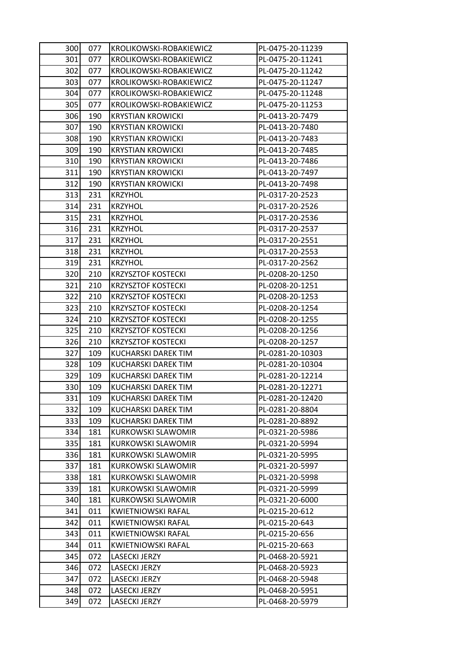| 300 | 077 | KROLIKOWSKI-ROBAKIEWICZ    | PL-0475-20-11239 |
|-----|-----|----------------------------|------------------|
| 301 | 077 | KROLIKOWSKI-ROBAKIEWICZ    | PL-0475-20-11241 |
| 302 | 077 | KROLIKOWSKI-ROBAKIEWICZ    | PL-0475-20-11242 |
| 303 | 077 | KROLIKOWSKI-ROBAKIEWICZ    | PL-0475-20-11247 |
| 304 | 077 | KROLIKOWSKI-ROBAKIEWICZ    | PL-0475-20-11248 |
| 305 | 077 | KROLIKOWSKI-ROBAKIEWICZ    | PL-0475-20-11253 |
| 306 | 190 | <b>KRYSTIAN KROWICKI</b>   | PL-0413-20-7479  |
| 307 | 190 | <b>KRYSTIAN KROWICKI</b>   | PL-0413-20-7480  |
| 308 | 190 | <b>KRYSTIAN KROWICKI</b>   | PL-0413-20-7483  |
| 309 | 190 | <b>KRYSTIAN KROWICKI</b>   | PL-0413-20-7485  |
| 310 | 190 | <b>KRYSTIAN KROWICKI</b>   | PL-0413-20-7486  |
| 311 | 190 | <b>KRYSTIAN KROWICKI</b>   | PL-0413-20-7497  |
| 312 | 190 | <b>KRYSTIAN KROWICKI</b>   | PL-0413-20-7498  |
| 313 | 231 | <b>KRZYHOL</b>             | PL-0317-20-2523  |
| 314 | 231 | <b>KRZYHOL</b>             | PL-0317-20-2526  |
| 315 | 231 | <b>KRZYHOL</b>             | PL-0317-20-2536  |
| 316 | 231 | <b>KRZYHOL</b>             | PL-0317-20-2537  |
| 317 | 231 | <b>KRZYHOL</b>             | PL-0317-20-2551  |
| 318 | 231 | <b>KRZYHOL</b>             | PL-0317-20-2553  |
| 319 | 231 | <b>KRZYHOL</b>             | PL-0317-20-2562  |
| 320 | 210 | <b>KRZYSZTOF KOSTECKI</b>  | PL-0208-20-1250  |
| 321 | 210 | <b>KRZYSZTOF KOSTECKI</b>  | PL-0208-20-1251  |
| 322 | 210 | <b>KRZYSZTOF KOSTECKI</b>  | PL-0208-20-1253  |
| 323 | 210 | <b>KRZYSZTOF KOSTECKI</b>  | PL-0208-20-1254  |
| 324 | 210 | <b>KRZYSZTOF KOSTECKI</b>  | PL-0208-20-1255  |
| 325 | 210 | <b>KRZYSZTOF KOSTECKI</b>  | PL-0208-20-1256  |
| 326 | 210 | <b>KRZYSZTOF KOSTECKI</b>  | PL-0208-20-1257  |
| 327 | 109 | <b>KUCHARSKI DAREK TIM</b> | PL-0281-20-10303 |
| 328 | 109 | KUCHARSKI DAREK TIM        | PL-0281-20-10304 |
| 329 | 109 | KUCHARSKI DAREK TIM        | PL-0281-20-12214 |
| 330 | 109 | KUCHARSKI DAREK TIM        | PL-0281-20-12271 |
| 331 | 109 | KUCHARSKI DAREK TIM        | PL-0281-20-12420 |
| 332 | 109 | KUCHARSKI DAREK TIM        | PL-0281-20-8804  |
| 333 | 109 | KUCHARSKI DAREK TIM        | PL-0281-20-8892  |
| 334 | 181 | KURKOWSKI SLAWOMIR         | PL-0321-20-5986  |
| 335 | 181 | <b>KURKOWSKI SLAWOMIR</b>  | PL-0321-20-5994  |
| 336 | 181 | <b>KURKOWSKI SLAWOMIR</b>  | PL-0321-20-5995  |
| 337 | 181 | KURKOWSKI SLAWOMIR         | PL-0321-20-5997  |
| 338 | 181 | <b>KURKOWSKI SLAWOMIR</b>  | PL-0321-20-5998  |
| 339 | 181 | <b>KURKOWSKI SLAWOMIR</b>  | PL-0321-20-5999  |
| 340 | 181 | KURKOWSKI SLAWOMIR         | PL-0321-20-6000  |
| 341 | 011 | <b>KWIETNIOWSKI RAFAL</b>  | PL-0215-20-612   |
| 342 | 011 | KWIETNIOWSKI RAFAL         | PL-0215-20-643   |
| 343 | 011 | <b>KWIETNIOWSKI RAFAL</b>  | PL-0215-20-656   |
| 344 | 011 | <b>KWIETNIOWSKI RAFAL</b>  | PL-0215-20-663   |
| 345 | 072 | LASECKI JERZY              | PL-0468-20-5921  |
| 346 | 072 | <b>LASECKI JERZY</b>       | PL-0468-20-5923  |
| 347 | 072 | LASECKI JERZY              | PL-0468-20-5948  |
| 348 | 072 | LASECKI JERZY              | PL-0468-20-5951  |
| 349 | 072 | LASECKI JERZY              | PL-0468-20-5979  |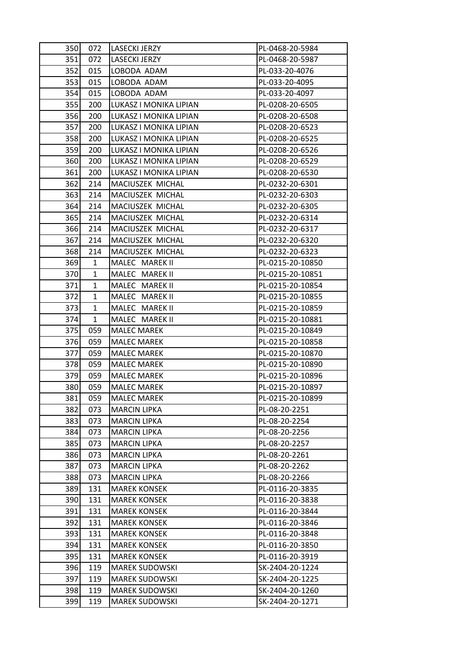| 350 | 072          | <b>LASECKI JERZY</b>   | PL-0468-20-5984  |
|-----|--------------|------------------------|------------------|
| 351 | 072          | LASECKI JERZY          | PL-0468-20-5987  |
| 352 | 015          | LOBODA ADAM            | PL-033-20-4076   |
| 353 | 015          | LOBODA ADAM            | PL-033-20-4095   |
| 354 | 015          | LOBODA ADAM            | PL-033-20-4097   |
| 355 | 200          | LUKASZ I MONIKA LIPIAN | PL-0208-20-6505  |
| 356 | 200          | LUKASZ I MONIKA LIPIAN | PL-0208-20-6508  |
| 357 | 200          | LUKASZ I MONIKA LIPIAN | PL-0208-20-6523  |
| 358 | 200          | LUKASZ I MONIKA LIPIAN | PL-0208-20-6525  |
| 359 | 200          | LUKASZ I MONIKA LIPIAN | PL-0208-20-6526  |
| 360 | 200          | LUKASZ I MONIKA LIPIAN | PL-0208-20-6529  |
| 361 | 200          | LUKASZ I MONIKA LIPIAN | PL-0208-20-6530  |
| 362 | 214          | MACIUSZEK MICHAL       | PL-0232-20-6301  |
| 363 | 214          | MACIUSZEK MICHAL       | PL-0232-20-6303  |
| 364 | 214          | MACIUSZEK MICHAL       | PL-0232-20-6305  |
| 365 | 214          | MACIUSZEK MICHAL       | PL-0232-20-6314  |
| 366 | 214          | MACIUSZEK MICHAL       | PL-0232-20-6317  |
| 367 | 214          | MACIUSZEK MICHAL       | PL-0232-20-6320  |
| 368 | 214          | MACIUSZEK MICHAL       | PL-0232-20-6323  |
| 369 | 1            | MALEC MAREK II         | PL-0215-20-10850 |
| 370 | 1            | MALEC MAREK II         | PL-0215-20-10851 |
| 371 | $\mathbf{1}$ | MALEC MAREK II         | PL-0215-20-10854 |
| 372 | 1            | MALEC MAREK II         | PL-0215-20-10855 |
| 373 | $\mathbf{1}$ | MALEC MAREK II         | PL-0215-20-10859 |
| 374 | 1            | MALEC MAREK II         | PL-0215-20-10881 |
| 375 | 059          | <b>MALEC MAREK</b>     | PL-0215-20-10849 |
| 376 | 059          | <b>MALEC MAREK</b>     | PL-0215-20-10858 |
| 377 | 059          | <b>MALEC MAREK</b>     | PL-0215-20-10870 |
| 378 | 059          | <b>MALEC MAREK</b>     | PL-0215-20-10890 |
| 379 | 059          | <b>MALEC MAREK</b>     | PL-0215-20-10896 |
| 380 | 059          | <b>MALEC MAREK</b>     | PL-0215-20-10897 |
| 381 | 059          | <b>MALEC MAREK</b>     | PL-0215-20-10899 |
| 382 | 073          | <b>MARCIN LIPKA</b>    | PL-08-20-2251    |
| 383 | 073          | <b>MARCIN LIPKA</b>    | PL-08-20-2254    |
| 384 | 073          | <b>MARCIN LIPKA</b>    | PL-08-20-2256    |
| 385 | 073          | <b>MARCIN LIPKA</b>    | PL-08-20-2257    |
| 386 | 073          | <b>MARCIN LIPKA</b>    | PL-08-20-2261    |
| 387 | 073          | <b>MARCIN LIPKA</b>    | PL-08-20-2262    |
| 388 | 073          | <b>MARCIN LIPKA</b>    | PL-08-20-2266    |
| 389 | 131          | <b>MAREK KONSEK</b>    | PL-0116-20-3835  |
| 390 | 131          | <b>MAREK KONSEK</b>    | PL-0116-20-3838  |
| 391 | 131          | <b>MAREK KONSEK</b>    | PL-0116-20-3844  |
| 392 | 131          | <b>MAREK KONSEK</b>    | PL-0116-20-3846  |
| 393 | 131          | <b>MAREK KONSEK</b>    | PL-0116-20-3848  |
| 394 | 131          | <b>MAREK KONSEK</b>    | PL-0116-20-3850  |
| 395 | 131          | <b>MAREK KONSEK</b>    | PL-0116-20-3919  |
| 396 | 119          | <b>MAREK SUDOWSKI</b>  | SK-2404-20-1224  |
| 397 | 119          | <b>MAREK SUDOWSKI</b>  | SK-2404-20-1225  |
| 398 | 119          | <b>MAREK SUDOWSKI</b>  | SK-2404-20-1260  |
| 399 | 119          | <b>MAREK SUDOWSKI</b>  | SK-2404-20-1271  |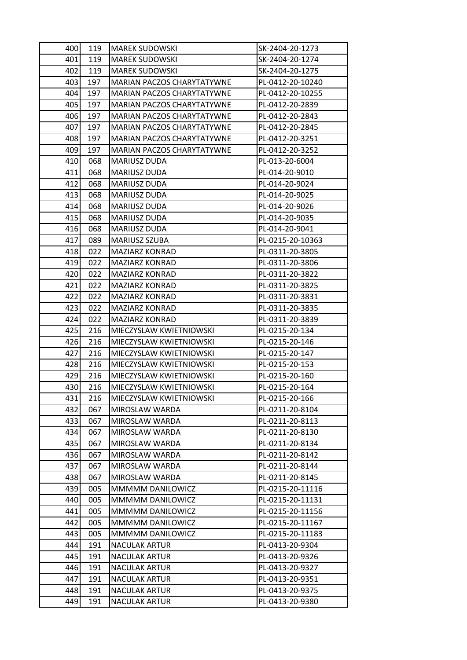| 400 | 119 | <b>MAREK SUDOWSKI</b>      | SK-2404-20-1273  |
|-----|-----|----------------------------|------------------|
| 401 | 119 | <b>MAREK SUDOWSKI</b>      | SK-2404-20-1274  |
| 402 | 119 | <b>MAREK SUDOWSKI</b>      | SK-2404-20-1275  |
| 403 | 197 | MARIAN PACZOS CHARYTATYWNE | PL-0412-20-10240 |
| 404 | 197 | MARIAN PACZOS CHARYTATYWNE | PL-0412-20-10255 |
| 405 | 197 | MARIAN PACZOS CHARYTATYWNE | PL-0412-20-2839  |
| 406 | 197 | MARIAN PACZOS CHARYTATYWNE | PL-0412-20-2843  |
| 407 | 197 | MARIAN PACZOS CHARYTATYWNE | PL-0412-20-2845  |
| 408 | 197 | MARIAN PACZOS CHARYTATYWNE | PL-0412-20-3251  |
| 409 | 197 | MARIAN PACZOS CHARYTATYWNE | PL-0412-20-3252  |
| 410 | 068 | MARIUSZ DUDA               | PL-013-20-6004   |
| 411 | 068 | MARIUSZ DUDA               | PL-014-20-9010   |
| 412 | 068 | MARIUSZ DUDA               | PL-014-20-9024   |
| 413 | 068 | MARIUSZ DUDA               | PL-014-20-9025   |
| 414 | 068 | MARIUSZ DUDA               | PL-014-20-9026   |
| 415 | 068 | MARIUSZ DUDA               | PL-014-20-9035   |
| 416 | 068 | MARIUSZ DUDA               | PL-014-20-9041   |
| 417 | 089 | <b>MARIUSZ SZUBA</b>       | PL-0215-20-10363 |
| 418 | 022 | <b>MAZIARZ KONRAD</b>      | PL-0311-20-3805  |
| 419 | 022 | MAZIARZ KONRAD             | PL-0311-20-3806  |
| 420 | 022 | MAZIARZ KONRAD             | PL-0311-20-3822  |
| 421 | 022 | <b>MAZIARZ KONRAD</b>      | PL-0311-20-3825  |
| 422 | 022 | MAZIARZ KONRAD             | PL-0311-20-3831  |
| 423 | 022 | <b>MAZIARZ KONRAD</b>      | PL-0311-20-3835  |
| 424 | 022 | <b>MAZIARZ KONRAD</b>      | PL-0311-20-3839  |
| 425 | 216 | MIECZYSLAW KWIETNIOWSKI    | PL-0215-20-134   |
| 426 | 216 | MIECZYSLAW KWIETNIOWSKI    | PL-0215-20-146   |
| 427 | 216 | MIECZYSLAW KWIETNIOWSKI    | PL-0215-20-147   |
| 428 | 216 | MIECZYSLAW KWIETNIOWSKI    | PL-0215-20-153   |
| 429 | 216 | MIECZYSLAW KWIETNIOWSKI    | PL-0215-20-160   |
| 430 | 216 | MIECZYSLAW KWIETNIOWSKI    | PL-0215-20-164   |
| 431 | 216 | MIECZYSLAW KWIETNIOWSKI    | PL-0215-20-166   |
| 432 | 067 | MIROSLAW WARDA             | PL-0211-20-8104  |
| 433 | 067 | MIROSLAW WARDA             | PL-0211-20-8113  |
| 434 | 067 | MIROSLAW WARDA             | PL-0211-20-8130  |
| 435 | 067 | MIROSLAW WARDA             | PL-0211-20-8134  |
| 436 | 067 | MIROSLAW WARDA             | PL-0211-20-8142  |
| 437 | 067 | MIROSLAW WARDA             | PL-0211-20-8144  |
| 438 | 067 | MIROSLAW WARDA             | PL-0211-20-8145  |
| 439 | 005 | MMMMM DANILOWICZ           | PL-0215-20-11116 |
| 440 | 005 | MMMMM DANILOWICZ           | PL-0215-20-11131 |
| 441 | 005 | MMMMM DANILOWICZ           | PL-0215-20-11156 |
| 442 | 005 | MMMMM DANILOWICZ           | PL-0215-20-11167 |
| 443 | 005 | MMMMM DANILOWICZ           | PL-0215-20-11183 |
| 444 | 191 | <b>NACULAK ARTUR</b>       | PL-0413-20-9304  |
| 445 | 191 | <b>NACULAK ARTUR</b>       | PL-0413-20-9326  |
| 446 | 191 | <b>NACULAK ARTUR</b>       | PL-0413-20-9327  |
| 447 | 191 | <b>NACULAK ARTUR</b>       | PL-0413-20-9351  |
| 448 | 191 | <b>NACULAK ARTUR</b>       | PL-0413-20-9375  |
| 449 | 191 | <b>NACULAK ARTUR</b>       | PL-0413-20-9380  |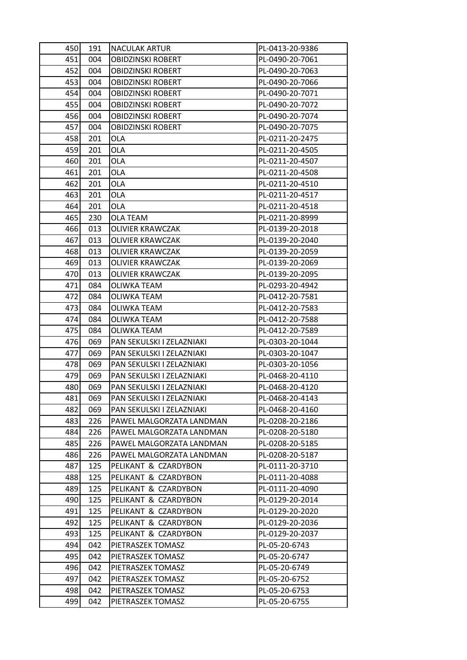| 450 | 191 | <b>NACULAK ARTUR</b>      | PL-0413-20-9386 |
|-----|-----|---------------------------|-----------------|
| 451 | 004 | <b>OBIDZINSKI ROBERT</b>  | PL-0490-20-7061 |
| 452 | 004 | <b>OBIDZINSKI ROBERT</b>  | PL-0490-20-7063 |
| 453 | 004 | <b>OBIDZINSKI ROBERT</b>  | PL-0490-20-7066 |
| 454 | 004 | <b>OBIDZINSKI ROBERT</b>  | PL-0490-20-7071 |
| 455 | 004 | <b>OBIDZINSKI ROBERT</b>  | PL-0490-20-7072 |
| 456 | 004 | <b>OBIDZINSKI ROBERT</b>  | PL-0490-20-7074 |
| 457 | 004 | <b>OBIDZINSKI ROBERT</b>  | PL-0490-20-7075 |
| 458 | 201 | <b>OLA</b>                | PL-0211-20-2475 |
| 459 | 201 | <b>OLA</b>                | PL-0211-20-4505 |
| 460 | 201 | OLA                       | PL-0211-20-4507 |
| 461 | 201 | OLA                       | PL-0211-20-4508 |
| 462 | 201 | <b>OLA</b>                | PL-0211-20-4510 |
| 463 | 201 | <b>OLA</b>                | PL-0211-20-4517 |
| 464 | 201 | <b>OLA</b>                | PL-0211-20-4518 |
| 465 | 230 | <b>OLA TEAM</b>           | PL-0211-20-8999 |
| 466 | 013 | <b>OLIVIER KRAWCZAK</b>   | PL-0139-20-2018 |
| 467 | 013 | <b>OLIVIER KRAWCZAK</b>   | PL-0139-20-2040 |
| 468 | 013 | <b>OLIVIER KRAWCZAK</b>   | PL-0139-20-2059 |
| 469 | 013 | <b>OLIVIER KRAWCZAK</b>   | PL-0139-20-2069 |
| 470 | 013 | OLIVIER KRAWCZAK          | PL-0139-20-2095 |
| 471 | 084 | <b>OLIWKA TEAM</b>        | PL-0293-20-4942 |
| 472 | 084 | OLIWKA TEAM               | PL-0412-20-7581 |
| 473 | 084 | <b>OLIWKA TEAM</b>        | PL-0412-20-7583 |
| 474 | 084 | <b>OLIWKA TEAM</b>        | PL-0412-20-7588 |
| 475 | 084 | OLIWKA TEAM               | PL-0412-20-7589 |
| 476 | 069 | PAN SEKULSKI I ZELAZNIAKI | PL-0303-20-1044 |
| 477 | 069 | PAN SEKULSKI I ZELAZNIAKI | PL-0303-20-1047 |
| 478 | 069 | PAN SEKULSKI I ZELAZNIAKI | PL-0303-20-1056 |
| 479 | 069 | PAN SEKULSKI I ZELAZNIAKI | PL-0468-20-4110 |
| 480 | 069 | PAN SEKULSKI I ZELAZNIAKI | PL-0468-20-4120 |
| 481 | 069 | PAN SEKULSKI I ZELAZNIAKI | PL-0468-20-4143 |
| 482 | 069 | PAN SEKULSKI I ZELAZNIAKI | PL-0468-20-4160 |
| 483 | 226 | PAWEL MALGORZATA LANDMAN  | PL-0208-20-2186 |
| 484 | 226 | PAWEL MALGORZATA LANDMAN  | PL-0208-20-5180 |
| 485 | 226 | PAWEL MALGORZATA LANDMAN  | PL-0208-20-5185 |
| 486 | 226 | PAWEL MALGORZATA LANDMAN  | PL-0208-20-5187 |
| 487 | 125 | PELIKANT & CZARDYBON      | PL-0111-20-3710 |
| 488 | 125 | PELIKANT & CZARDYBON      | PL-0111-20-4088 |
| 489 | 125 | PELIKANT & CZARDYBON      | PL-0111-20-4090 |
| 490 | 125 | PELIKANT & CZARDYBON      | PL-0129-20-2014 |
| 491 | 125 | PELIKANT & CZARDYBON      | PL-0129-20-2020 |
| 492 | 125 | PELIKANT & CZARDYBON      | PL-0129-20-2036 |
| 493 | 125 | PELIKANT & CZARDYBON      | PL-0129-20-2037 |
| 494 | 042 | PIETRASZEK TOMASZ         | PL-05-20-6743   |
| 495 | 042 | PIETRASZEK TOMASZ         | PL-05-20-6747   |
| 496 | 042 | PIETRASZEK TOMASZ         | PL-05-20-6749   |
| 497 | 042 | PIETRASZEK TOMASZ         | PL-05-20-6752   |
| 498 | 042 | PIETRASZEK TOMASZ         | PL-05-20-6753   |
| 499 | 042 | PIETRASZEK TOMASZ         | PL-05-20-6755   |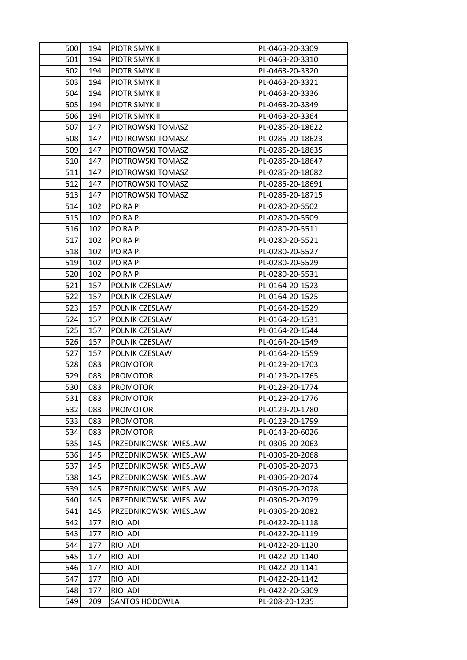| 500 | 194 | <b>PIOTR SMYK II</b>  | PL-0463-20-3309  |
|-----|-----|-----------------------|------------------|
| 501 | 194 | PIOTR SMYK II         | PL-0463-20-3310  |
| 502 | 194 | PIOTR SMYK II         | PL-0463-20-3320  |
| 503 | 194 | PIOTR SMYK II         | PL-0463-20-3321  |
| 504 | 194 | PIOTR SMYK II         | PL-0463-20-3336  |
| 505 | 194 | PIOTR SMYK II         | PL-0463-20-3349  |
| 506 | 194 | PIOTR SMYK II         | PL-0463-20-3364  |
| 507 | 147 | PIOTROWSKI TOMASZ     | PL-0285-20-18622 |
| 508 | 147 | PIOTROWSKI TOMASZ     | PL-0285-20-18623 |
| 509 | 147 | PIOTROWSKI TOMASZ     | PL-0285-20-18635 |
| 510 | 147 | PIOTROWSKI TOMASZ     | PL-0285-20-18647 |
| 511 | 147 | PIOTROWSKI TOMASZ     | PL-0285-20-18682 |
| 512 | 147 | PIOTROWSKI TOMASZ     | PL-0285-20-18691 |
| 513 | 147 | PIOTROWSKI TOMASZ     | PL-0285-20-18715 |
| 514 | 102 | PO RA PI              | PL-0280-20-5502  |
| 515 | 102 | PO RA PI              | PL-0280-20-5509  |
| 516 | 102 | PO RA PI              | PL-0280-20-5511  |
| 517 | 102 | PO RA PI              | PL-0280-20-5521  |
| 518 | 102 | PO RA PI              | PL-0280-20-5527  |
| 519 | 102 | PO RA PI              | PL-0280-20-5529  |
| 520 | 102 | PO RA PI              | PL-0280-20-5531  |
| 521 | 157 | POLNIK CZESLAW        | PL-0164-20-1523  |
| 522 | 157 | POLNIK CZESLAW        | PL-0164-20-1525  |
| 523 | 157 | POLNIK CZESLAW        | PL-0164-20-1529  |
| 524 | 157 | POLNIK CZESLAW        | PL-0164-20-1531  |
| 525 | 157 | POLNIK CZESLAW        | PL-0164-20-1544  |
| 526 | 157 | POLNIK CZESLAW        | PL-0164-20-1549  |
| 527 | 157 | POLNIK CZESLAW        | PL-0164-20-1559  |
| 528 | 083 | <b>PROMOTOR</b>       | PL-0129-20-1703  |
| 529 | 083 | <b>PROMOTOR</b>       | PL-0129-20-1765  |
| 530 | 083 | <b>PROMOTOR</b>       | PL-0129-20-1774  |
| 531 | 083 | <b>PROMOTOR</b>       | PL-0129-20-1776  |
| 532 | 083 | <b>PROMOTOR</b>       | PL-0129-20-1780  |
| 533 | 083 | <b>PROMOTOR</b>       | PL-0129-20-1799  |
| 534 | 083 | <b>PROMOTOR</b>       | PL-0143-20-6026  |
| 535 | 145 | PRZEDNIKOWSKI WIESLAW | PL-0306-20-2063  |
| 536 | 145 | PRZEDNIKOWSKI WIESLAW | PL-0306-20-2068  |
| 537 | 145 | PRZEDNIKOWSKI WIESLAW | PL-0306-20-2073  |
| 538 | 145 | PRZEDNIKOWSKI WIESLAW | PL-0306-20-2074  |
| 539 | 145 | PRZEDNIKOWSKI WIESLAW | PL-0306-20-2078  |
| 540 | 145 | PRZEDNIKOWSKI WIESLAW | PL-0306-20-2079  |
| 541 | 145 | PRZEDNIKOWSKI WIESLAW | PL-0306-20-2082  |
| 542 | 177 | RIO ADI               | PL-0422-20-1118  |
| 543 | 177 | RIO ADI               | PL-0422-20-1119  |
| 544 | 177 | RIO ADI               | PL-0422-20-1120  |
| 545 | 177 | RIO ADI               | PL-0422-20-1140  |
| 546 | 177 | RIO ADI               | PL-0422-20-1141  |
| 547 | 177 | RIO ADI               | PL-0422-20-1142  |
| 548 | 177 | RIO ADI               | PL-0422-20-5309  |
| 549 | 209 | SANTOS HODOWLA        | PL-208-20-1235   |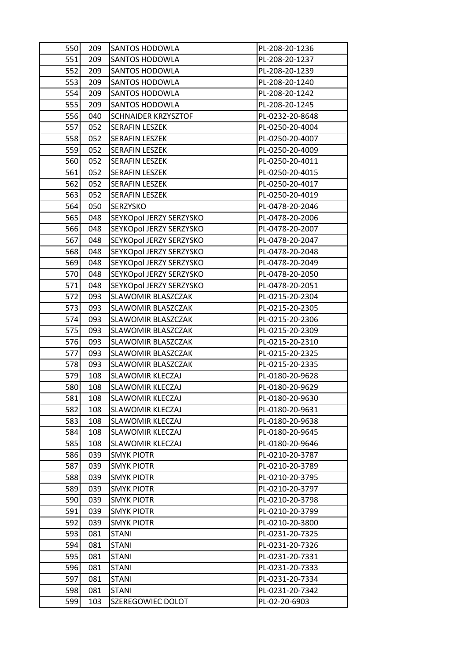| 550        | 209        | SANTOS HODOWLA                         | PL-208-20-1236                     |
|------------|------------|----------------------------------------|------------------------------------|
| 551        | 209        | <b>SANTOS HODOWLA</b>                  | PL-208-20-1237                     |
| 552        | 209        | <b>SANTOS HODOWLA</b>                  | PL-208-20-1239                     |
| 553        | 209        | SANTOS HODOWLA                         | PL-208-20-1240                     |
| 554        | 209        | <b>SANTOS HODOWLA</b>                  | PL-208-20-1242                     |
| 555        | 209        | SANTOS HODOWLA                         | PL-208-20-1245                     |
| 556        | 040        | <b>SCHNAIDER KRZYSZTOF</b>             | PL-0232-20-8648                    |
| 557        | 052        | <b>SERAFIN LESZEK</b>                  | PL-0250-20-4004                    |
| 558        | 052        | <b>SERAFIN LESZEK</b>                  | PL-0250-20-4007                    |
| 559        | 052        | <b>SERAFIN LESZEK</b>                  | PL-0250-20-4009                    |
| 560        | 052        | <b>SERAFIN LESZEK</b>                  | PL-0250-20-4011                    |
| 561        | 052        | <b>SERAFIN LESZEK</b>                  | PL-0250-20-4015                    |
| 562        | 052        | <b>SERAFIN LESZEK</b>                  | PL-0250-20-4017                    |
| 563        | 052        | <b>SERAFIN LESZEK</b>                  | PL-0250-20-4019                    |
| 564        | 050        | SERZYSKO                               | PL-0478-20-2046                    |
| 565        | 048        | SEYKOpol JERZY SERZYSKO                | PL-0478-20-2006                    |
| 566        | 048        | SEYKOpol JERZY SERZYSKO                | PL-0478-20-2007                    |
| 567        | 048        | SEYKOpol JERZY SERZYSKO                | PL-0478-20-2047                    |
| 568        | 048        | SEYKOpol JERZY SERZYSKO                | PL-0478-20-2048                    |
| 569        | 048        | SEYKOpol JERZY SERZYSKO                | PL-0478-20-2049                    |
| 570        | 048        | SEYKOpol JERZY SERZYSKO                | PL-0478-20-2050                    |
| 571        | 048        | SEYKOpol JERZY SERZYSKO                | PL-0478-20-2051                    |
| 572        | 093        | SLAWOMIR BLASZCZAK                     | PL-0215-20-2304                    |
| 573        | 093        | SLAWOMIR BLASZCZAK                     | PL-0215-20-2305                    |
| 574        | 093        | SLAWOMIR BLASZCZAK                     | PL-0215-20-2306                    |
| 575        | 093        | SLAWOMIR BLASZCZAK                     | PL-0215-20-2309                    |
| 576        | 093        | SLAWOMIR BLASZCZAK                     | PL-0215-20-2310                    |
| 577        | 093        | <b>SLAWOMIR BLASZCZAK</b>              | PL-0215-20-2325                    |
| 578        | 093        | <b>SLAWOMIR BLASZCZAK</b>              | PL-0215-20-2335                    |
| 579        | 108        | SLAWOMIR KLECZAJ                       | PL-0180-20-9628                    |
| 580        | 108        | <b>SLAWOMIR KLECZAJ</b>                | PL-0180-20-9629                    |
| 581        | 108        | SLAWOMIR KLECZAJ                       | PL-0180-20-9630                    |
| 582        | 108        | SLAWOMIR KLECZAJ                       | PL-0180-20-9631                    |
| 583        | 108        | SLAWOMIR KLECZAJ                       | PL-0180-20-9638                    |
| 584        | 108        | SLAWOMIR KLECZAJ                       | PL-0180-20-9645                    |
| 585        | 108        | SLAWOMIR KLECZAJ                       | PL-0180-20-9646                    |
| 586        | 039        | <b>SMYK PIOTR</b>                      | PL-0210-20-3787                    |
| 587        | 039        | <b>SMYK PIOTR</b>                      | PL-0210-20-3789                    |
| 588        | 039        | <b>SMYK PIOTR</b>                      | PL-0210-20-3795                    |
| 589<br>590 | 039        | <b>SMYK PIOTR</b><br><b>SMYK PIOTR</b> | PL-0210-20-3797                    |
|            | 039        |                                        | PL-0210-20-3798                    |
| 591<br>592 | 039        | <b>SMYK PIOTR</b>                      | PL-0210-20-3799                    |
| 593        | 039<br>081 | <b>SMYK PIOTR</b><br><b>STANI</b>      | PL-0210-20-3800<br>PL-0231-20-7325 |
| 594        | 081        | <b>STANI</b>                           | PL-0231-20-7326                    |
| 595        | 081        | <b>STANI</b>                           | PL-0231-20-7331                    |
| 596        | 081        | <b>STANI</b>                           | PL-0231-20-7333                    |
| 597        | 081        | <b>STANI</b>                           | PL-0231-20-7334                    |
| 598        | 081        | <b>STANI</b>                           | PL-0231-20-7342                    |
| 599        | 103        | SZEREGOWIEC DOLOT                      |                                    |
|            |            |                                        | PL-02-20-6903                      |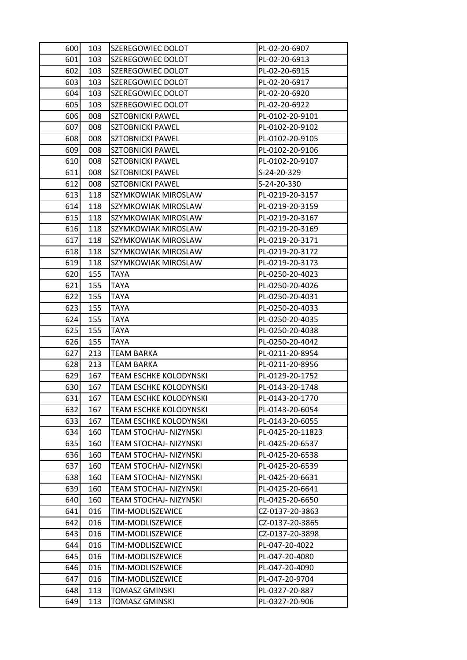| 600 | 103 | SZEREGOWIEC DOLOT             | PL-02-20-6907    |
|-----|-----|-------------------------------|------------------|
| 601 | 103 | SZEREGOWIEC DOLOT             | PL-02-20-6913    |
| 602 | 103 | SZEREGOWIEC DOLOT             | PL-02-20-6915    |
| 603 | 103 | SZEREGOWIEC DOLOT             | PL-02-20-6917    |
| 604 | 103 | SZEREGOWIEC DOLOT             | PL-02-20-6920    |
| 605 | 103 | SZEREGOWIEC DOLOT             | PL-02-20-6922    |
| 606 | 008 | <b>SZTOBNICKI PAWEL</b>       | PL-0102-20-9101  |
| 607 | 008 | <b>SZTOBNICKI PAWEL</b>       | PL-0102-20-9102  |
| 608 | 008 | <b>SZTOBNICKI PAWEL</b>       | PL-0102-20-9105  |
| 609 | 008 | <b>SZTOBNICKI PAWEL</b>       | PL-0102-20-9106  |
| 610 | 008 | <b>SZTOBNICKI PAWEL</b>       | PL-0102-20-9107  |
| 611 | 008 | <b>SZTOBNICKI PAWEL</b>       | S-24-20-329      |
| 612 | 008 | <b>SZTOBNICKI PAWEL</b>       | S-24-20-330      |
| 613 | 118 | SZYMKOWIAK MIROSLAW           | PL-0219-20-3157  |
| 614 | 118 | SZYMKOWIAK MIROSLAW           | PL-0219-20-3159  |
| 615 | 118 | SZYMKOWIAK MIROSLAW           | PL-0219-20-3167  |
| 616 | 118 | SZYMKOWIAK MIROSLAW           | PL-0219-20-3169  |
| 617 | 118 | SZYMKOWIAK MIROSLAW           | PL-0219-20-3171  |
| 618 | 118 | SZYMKOWIAK MIROSLAW           | PL-0219-20-3172  |
| 619 | 118 | SZYMKOWIAK MIROSLAW           | PL-0219-20-3173  |
| 620 | 155 | <b>TAYA</b>                   | PL-0250-20-4023  |
| 621 | 155 | <b>TAYA</b>                   | PL-0250-20-4026  |
| 622 | 155 | TAYA                          | PL-0250-20-4031  |
| 623 | 155 | TAYA                          | PL-0250-20-4033  |
| 624 | 155 | <b>TAYA</b>                   | PL-0250-20-4035  |
| 625 | 155 | TAYA                          | PL-0250-20-4038  |
| 626 | 155 | <b>TAYA</b>                   | PL-0250-20-4042  |
| 627 | 213 | <b>TEAM BARKA</b>             | PL-0211-20-8954  |
| 628 | 213 | <b>TEAM BARKA</b>             | PL-0211-20-8956  |
| 629 | 167 | TEAM ESCHKE KOLODYNSKI        | PL-0129-20-1752  |
| 630 | 167 | TEAM ESCHKE KOLODYNSKI        | PL-0143-20-1748  |
| 631 | 167 | <b>TEAM ESCHKE KOLODYNSKI</b> | PL-0143-20-1770  |
| 632 | 167 | TEAM ESCHKE KOLODYNSKI        | PL-0143-20-6054  |
| 633 | 167 | TEAM ESCHKE KOLODYNSKI        | PL-0143-20-6055  |
| 634 | 160 | TEAM STOCHAJ- NIZYNSKI        | PL-0425-20-11823 |
| 635 | 160 | TEAM STOCHAJ- NIZYNSKI        | PL-0425-20-6537  |
| 636 | 160 | TEAM STOCHAJ- NIZYNSKI        | PL-0425-20-6538  |
| 637 | 160 | TEAM STOCHAJ- NIZYNSKI        | PL-0425-20-6539  |
| 638 | 160 | TEAM STOCHAJ- NIZYNSKI        | PL-0425-20-6631  |
| 639 | 160 | TEAM STOCHAJ- NIZYNSKI        | PL-0425-20-6641  |
| 640 | 160 | TEAM STOCHAJ- NIZYNSKI        | PL-0425-20-6650  |
| 641 | 016 | TIM-MODLISZEWICE              | CZ-0137-20-3863  |
| 642 | 016 | TIM-MODLISZEWICE              | CZ-0137-20-3865  |
| 643 | 016 | TIM-MODLISZEWICE              | CZ-0137-20-3898  |
| 644 | 016 | TIM-MODLISZEWICE              | PL-047-20-4022   |
| 645 | 016 | TIM-MODLISZEWICE              | PL-047-20-4080   |
| 646 | 016 | TIM-MODLISZEWICE              | PL-047-20-4090   |
| 647 | 016 | TIM-MODLISZEWICE              | PL-047-20-9704   |
| 648 | 113 | <b>TOMASZ GMINSKI</b>         | PL-0327-20-887   |
| 649 | 113 | TOMASZ GMINSKI                | PL-0327-20-906   |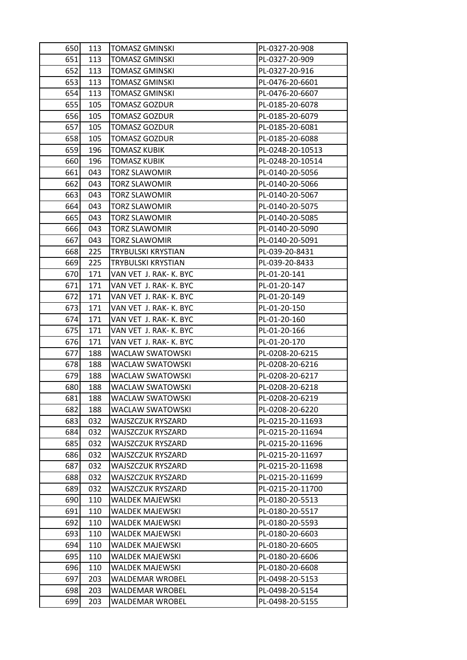| 650 | 113 | <b>TOMASZ GMINSKI</b>     | PL-0327-20-908   |
|-----|-----|---------------------------|------------------|
| 651 | 113 | <b>TOMASZ GMINSKI</b>     | PL-0327-20-909   |
| 652 | 113 | <b>TOMASZ GMINSKI</b>     | PL-0327-20-916   |
| 653 | 113 | <b>TOMASZ GMINSKI</b>     | PL-0476-20-6601  |
| 654 | 113 | <b>TOMASZ GMINSKI</b>     | PL-0476-20-6607  |
| 655 | 105 | <b>TOMASZ GOZDUR</b>      | PL-0185-20-6078  |
| 656 | 105 | <b>TOMASZ GOZDUR</b>      | PL-0185-20-6079  |
| 657 | 105 | <b>TOMASZ GOZDUR</b>      | PL-0185-20-6081  |
| 658 | 105 | <b>TOMASZ GOZDUR</b>      | PL-0185-20-6088  |
| 659 | 196 | <b>TOMASZ KUBIK</b>       | PL-0248-20-10513 |
| 660 | 196 | TOMASZ KUBIK              | PL-0248-20-10514 |
| 661 | 043 | <b>TORZ SLAWOMIR</b>      | PL-0140-20-5056  |
| 662 | 043 | <b>TORZ SLAWOMIR</b>      | PL-0140-20-5066  |
| 663 | 043 | <b>TORZ SLAWOMIR</b>      | PL-0140-20-5067  |
| 664 | 043 | <b>TORZ SLAWOMIR</b>      | PL-0140-20-5075  |
| 665 | 043 | <b>TORZ SLAWOMIR</b>      | PL-0140-20-5085  |
| 666 | 043 | <b>TORZ SLAWOMIR</b>      | PL-0140-20-5090  |
| 667 | 043 | <b>TORZ SLAWOMIR</b>      | PL-0140-20-5091  |
| 668 | 225 | TRYBULSKI KRYSTIAN        | PL-039-20-8431   |
| 669 | 225 | <b>TRYBULSKI KRYSTIAN</b> | PL-039-20-8433   |
| 670 | 171 | VAN VET J. RAK- K. BYC    | PL-01-20-141     |
| 671 | 171 | VAN VET J. RAK- K. BYC    | PL-01-20-147     |
| 672 | 171 | VAN VET J. RAK- K. BYC    | PL-01-20-149     |
| 673 | 171 | VAN VET J. RAK- K. BYC    | PL-01-20-150     |
| 674 | 171 | VAN VET J. RAK- K. BYC    | PL-01-20-160     |
| 675 | 171 | VAN VET J. RAK- K. BYC    | PL-01-20-166     |
| 676 | 171 | VAN VET J. RAK- K. BYC    | PL-01-20-170     |
| 677 | 188 | <b>WACLAW SWATOWSKI</b>   | PL-0208-20-6215  |
| 678 | 188 | <b>WACLAW SWATOWSKI</b>   | PL-0208-20-6216  |
| 679 | 188 | <b>WACLAW SWATOWSKI</b>   | PL-0208-20-6217  |
| 680 | 188 | <b>WACLAW SWATOWSKI</b>   | PL-0208-20-6218  |
| 681 | 188 | WACLAW SWATOWSKI          | PL-0208-20-6219  |
| 682 | 188 | WACLAW SWATOWSKI          | PL-0208-20-6220  |
| 683 | 032 | <b>WAJSZCZUK RYSZARD</b>  | PL-0215-20-11693 |
| 684 | 032 | <b>WAJSZCZUK RYSZARD</b>  | PL-0215-20-11694 |
| 685 | 032 | <b>WAJSZCZUK RYSZARD</b>  | PL-0215-20-11696 |
| 686 | 032 | WAJSZCZUK RYSZARD         | PL-0215-20-11697 |
| 687 | 032 | <b>WAJSZCZUK RYSZARD</b>  | PL-0215-20-11698 |
| 688 | 032 | <b>WAJSZCZUK RYSZARD</b>  | PL-0215-20-11699 |
| 689 | 032 | <b>WAJSZCZUK RYSZARD</b>  | PL-0215-20-11700 |
| 690 | 110 | WALDEK MAJEWSKI           | PL-0180-20-5513  |
| 691 | 110 | <b>WALDEK MAJEWSKI</b>    | PL-0180-20-5517  |
| 692 | 110 | WALDEK MAJEWSKI           | PL-0180-20-5593  |
| 693 | 110 | WALDEK MAJEWSKI           | PL-0180-20-6603  |
| 694 | 110 | <b>WALDEK MAJEWSKI</b>    | PL-0180-20-6605  |
| 695 | 110 | WALDEK MAJEWSKI           | PL-0180-20-6606  |
| 696 | 110 | <b>WALDEK MAJEWSKI</b>    | PL-0180-20-6608  |
| 697 | 203 | WALDEMAR WROBEL           | PL-0498-20-5153  |
| 698 | 203 | WALDEMAR WROBEL           | PL-0498-20-5154  |
| 699 | 203 | WALDEMAR WROBEL           | PL-0498-20-5155  |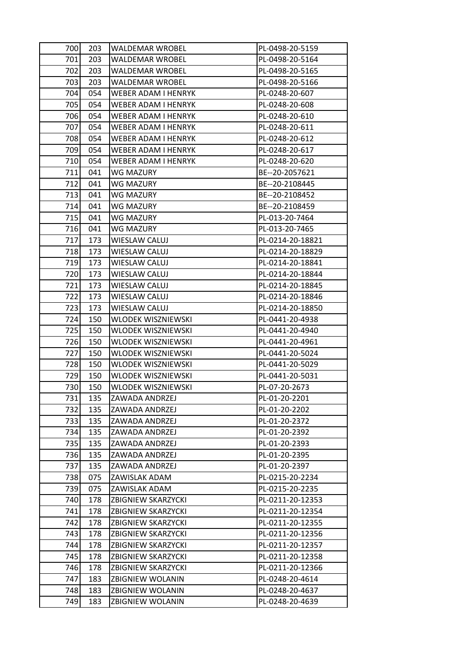| 700 | 203 | <b>WALDEMAR WROBEL</b>     | PL-0498-20-5159  |
|-----|-----|----------------------------|------------------|
| 701 | 203 | <b>WALDEMAR WROBEL</b>     | PL-0498-20-5164  |
| 702 | 203 | <b>WALDEMAR WROBEL</b>     | PL-0498-20-5165  |
| 703 | 203 | <b>WALDEMAR WROBEL</b>     | PL-0498-20-5166  |
| 704 | 054 | <b>WEBER ADAM I HENRYK</b> | PL-0248-20-607   |
| 705 | 054 | WEBER ADAM I HENRYK        | PL-0248-20-608   |
| 706 | 054 | WEBER ADAM I HENRYK        | PL-0248-20-610   |
| 707 | 054 | WEBER ADAM I HENRYK        | PL-0248-20-611   |
| 708 | 054 | WEBER ADAM I HENRYK        | PL-0248-20-612   |
| 709 | 054 | <b>WEBER ADAM I HENRYK</b> | PL-0248-20-617   |
| 710 | 054 | WEBER ADAM I HENRYK        | PL-0248-20-620   |
| 711 | 041 | WG MAZURY                  | BE--20-2057621   |
| 712 | 041 | WG MAZURY                  | BE--20-2108445   |
| 713 | 041 | WG MAZURY                  | BE--20-2108452   |
| 714 | 041 | <b>WG MAZURY</b>           | BE--20-2108459   |
| 715 | 041 | WG MAZURY                  | PL-013-20-7464   |
| 716 | 041 | <b>WG MAZURY</b>           | PL-013-20-7465   |
| 717 | 173 | <b>WIESLAW CALUJ</b>       | PL-0214-20-18821 |
| 718 | 173 | <b>WIESLAW CALUJ</b>       | PL-0214-20-18829 |
| 719 | 173 | <b>WIESLAW CALUJ</b>       | PL-0214-20-18841 |
| 720 | 173 | WIESLAW CALUJ              | PL-0214-20-18844 |
| 721 | 173 | <b>WIESLAW CALUJ</b>       | PL-0214-20-18845 |
| 722 | 173 | WIESLAW CALUJ              | PL-0214-20-18846 |
| 723 | 173 | <b>WIESLAW CALUJ</b>       | PL-0214-20-18850 |
| 724 | 150 | <b>WLODEK WISZNIEWSKI</b>  | PL-0441-20-4938  |
| 725 | 150 | WLODEK WISZNIEWSKI         | PL-0441-20-4940  |
| 726 | 150 | <b>WLODEK WISZNIEWSKI</b>  | PL-0441-20-4961  |
| 727 | 150 | <b>WLODEK WISZNIEWSKI</b>  | PL-0441-20-5024  |
| 728 | 150 | WLODEK WISZNIEWSKI         | PL-0441-20-5029  |
| 729 | 150 | <b>WLODEK WISZNIEWSKI</b>  | PL-0441-20-5031  |
| 730 | 150 | WLODEK WISZNIEWSKI         | PL-07-20-2673    |
| 731 | 135 | ZAWADA ANDRZEJ             | PL-01-20-2201    |
| 732 | 135 | ZAWADA ANDRZEJ             | PL-01-20-2202    |
| 733 | 135 | ZAWADA ANDRZEJ             | PL-01-20-2372    |
| 734 | 135 | ZAWADA ANDRZEJ             | PL-01-20-2392    |
| 735 | 135 | ZAWADA ANDRZEJ             | PL-01-20-2393    |
| 736 | 135 | ZAWADA ANDRZEJ             | PL-01-20-2395    |
| 737 | 135 | ZAWADA ANDRZEJ             | PL-01-20-2397    |
| 738 | 075 | ZAWISLAK ADAM              | PL-0215-20-2234  |
| 739 | 075 | ZAWISLAK ADAM              | PL-0215-20-2235  |
| 740 | 178 | <b>ZBIGNIEW SKARZYCKI</b>  | PL-0211-20-12353 |
| 741 | 178 | ZBIGNIEW SKARZYCKI         | PL-0211-20-12354 |
| 742 | 178 | <b>ZBIGNIEW SKARZYCKI</b>  | PL-0211-20-12355 |
| 743 | 178 | <b>ZBIGNIEW SKARZYCKI</b>  | PL-0211-20-12356 |
| 744 | 178 | <b>ZBIGNIEW SKARZYCKI</b>  | PL-0211-20-12357 |
| 745 | 178 | <b>ZBIGNIEW SKARZYCKI</b>  | PL-0211-20-12358 |
| 746 | 178 | ZBIGNIEW SKARZYCKI         | PL-0211-20-12366 |
| 747 | 183 | <b>ZBIGNIEW WOLANIN</b>    | PL-0248-20-4614  |
| 748 | 183 | <b>ZBIGNIEW WOLANIN</b>    | PL-0248-20-4637  |
| 749 | 183 | ZBIGNIEW WOLANIN           | PL-0248-20-4639  |